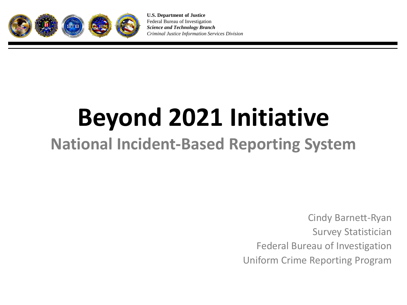

**U.S. Department of Justice** Federal Bureau of Investigation *Science and Technology Branch Criminal Justice Information Services Division*

# **Beyond 2021 Initiative**

#### **National Incident-Based Reporting System**

Cindy Barnett-Ryan Survey Statistician Federal Bureau of Investigation Uniform Crime Reporting Program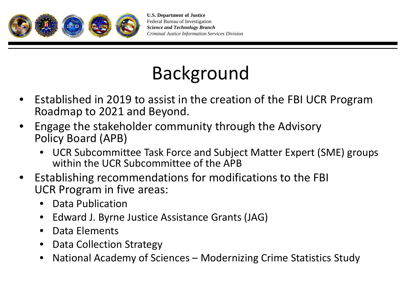

## Background

- Established in 2019 to assist in the creation of the FBI UCR Program Roadmap to 2021 and Beyond.
- Engage the stakeholder community through the Advisory Policy Board (APB)
	- UCR Subcommittee Task Force and Subject Matter Expert (SME) groups within the UCR Subcommittee of the APB
- Establishing recommendations for modifications to the FBI UCR Program in five areas:
	- Data Publication
	- Edward J. Byrne Justice Assistance Grants (JAG)
	- Data Elements
	- Data Collection Strategy
	- National Academy of Sciences Modernizing Crime Statistics Study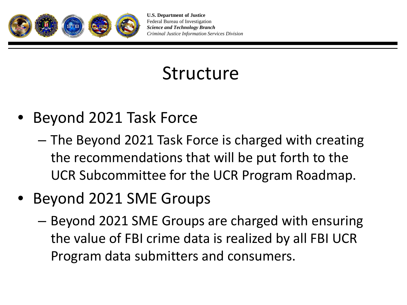

### Structure

- Beyond 2021 Task Force
	- The Beyond 2021 Task Force is charged with creating the recommendations that will be put forth to the UCR Subcommittee for the UCR Program Roadmap.
- Beyond 2021 SME Groups
	- Beyond 2021 SME Groups are charged with ensuring the value of FBI crime data is realized by all FBI UCR Program data submitters and consumers.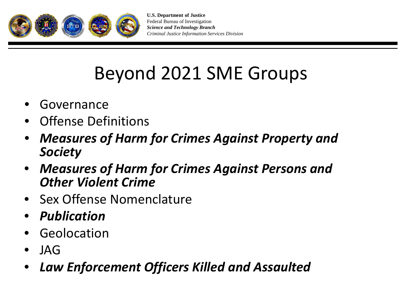

## Beyond 2021 SME Groups

- **Governance**
- Offense Definitions
- *Measures of Harm for Crimes Against Property and Society*
- *Measures of Harm for Crimes Against Persons and Other Violent Crime*
- Sex Offense Nomenclature
- *Publication*
- **Geolocation**
- JAG
- *Law Enforcement Officers Killed and Assaulted*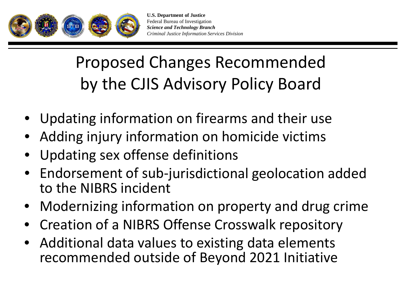

### Proposed Changes Recommended by the CJIS Advisory Policy Board

- Updating information on firearms and their use
- Adding injury information on homicide victims
- Updating sex offense definitions
- Endorsement of sub-jurisdictional geolocation added to the NIBRS incident
- Modernizing information on property and drug crime
- Creation of a NIBRS Offense Crosswalk repository
- Additional data values to existing data elements recommended outside of Beyond 2021 Initiative